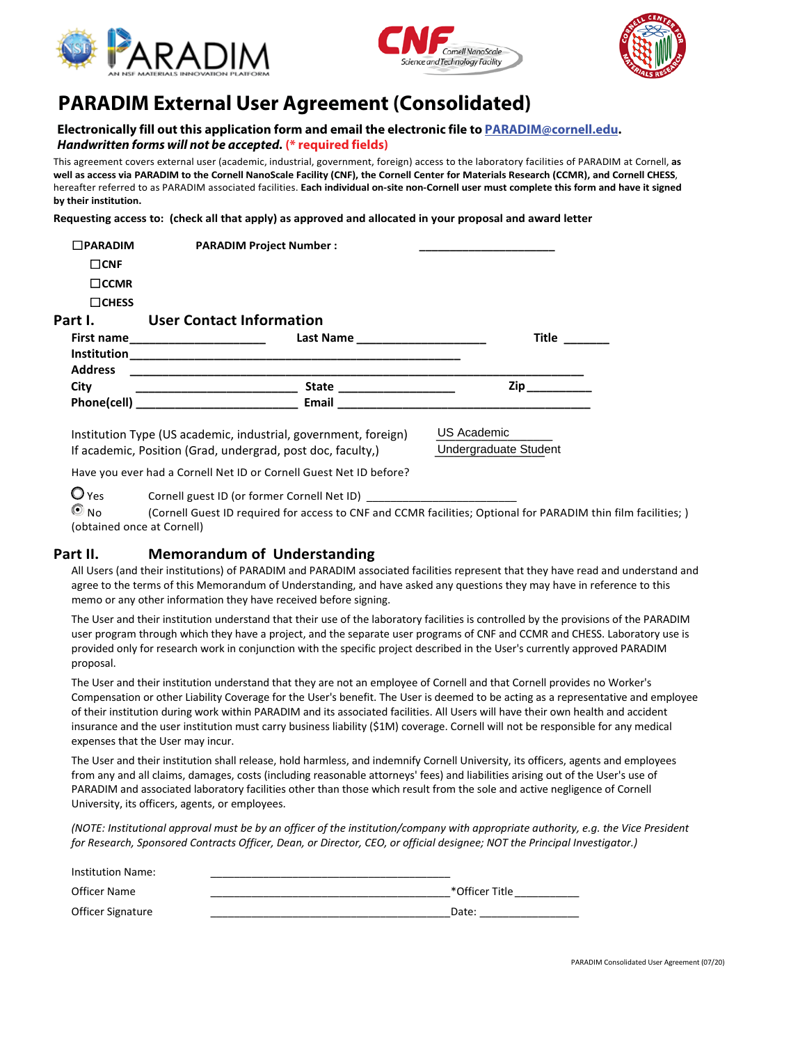





# **PARADIM External User Agreement (Consolidated)**

#### **Electronically fill out this application form and email the electronic file to PARADIM@cornell.edu. Handwritten forms will not be accepted***.* **(\* required fields)**

This agreement covers external user (academic, industrial, government, foreign) access to the laboratory facilities of PARADIM at Cornell, **as well as access via PARADIM to the Cornell NanoScale Facility (CNF), the Cornell Center for Materials Research (CCMR), and Cornell CHESS**, hereafter referred to as PARADIM associated facilities. **Each individual on-site non-Cornell user must complete this form and have it signed by their institution.** 

**Requesting access to: (check all that apply) as approved and allocated in your proposal and award letter**

| $\Box$ PARADIM<br>$\Box$ CNF<br>$\Box$ CCMR<br>$\Box$ CHESS | <b>PARADIM Project Number:</b>                                                                                                                                                                                                                                   |                                                                                                                                |
|-------------------------------------------------------------|------------------------------------------------------------------------------------------------------------------------------------------------------------------------------------------------------------------------------------------------------------------|--------------------------------------------------------------------------------------------------------------------------------|
|                                                             | Part I. <b>Solution</b> User Contact Information<br>First name______________________<br>Last Name                                                                                                                                                                | Title                                                                                                                          |
| <b>Address</b><br>City                                      | <u> 1980 - Jan Barbara Barbara, manazarta da kasas da shekara 1980 - André a Santa Barbara a Santa Barbara a Santa Barbara a Santa Barbara a Santa Barbara a Santa Barbara a Santa Barbara a Santa Barbara a Santa Barbara a San</u><br>Phone(cell) Phone (2014) | Zip_________<br>Email 2008 2009 2010 2021 2022 2023 2024 2022 2023 2024 2022 2023 2024 2022 2023 2024 2022 2023 2024 2025 2026 |
|                                                             | Institution Type (US academic, industrial, government, foreign)                                                                                                                                                                                                  | US Academic                                                                                                                    |

If academic, Position (Grad, undergrad, post doc, faculty,)

Undergraduate Student

Have you ever had a Cornell Net ID or Cornell Guest Net ID before?

 $\bigcirc$  Yes cornell guest ID (or former Cornell Net ID)

No (Cornell Guest ID required for access to CNF and CCMR facilities; Optional for PARADIM thin film facilities; ) (obtained once at Cornell)

## **Part II. Memorandum of Understanding**

All Users (and their institutions) of PARADIM and PARADIM associated facilities represent that they have read and understand and agree to the terms of this Memorandum of Understanding, and have asked any questions they may have in reference to this memo or any other information they have received before signing.

The User and their institution understand that their use of the laboratory facilities is controlled by the provisions of the PARADIM user program through which they have a project, and the separate user programs of CNF and CCMR and CHESS. Laboratory use is provided only for research work in conjunction with the specific project described in the User's currently approved PARADIM proposal.

The User and their institution understand that they are not an employee of Cornell and that Cornell provides no Worker's Compensation or other Liability Coverage for the User's benefit. The User is deemed to be acting as a representative and employee of their institution during work within PARADIM and its associated facilities. All Users will have their own health and accident insurance and the user institution must carry business liability (\$1M) coverage. Cornell will not be responsible for any medical expenses that the User may incur.

The User and their institution shall release, hold harmless, and indemnify Cornell University, its officers, agents and employees from any and all claims, damages, costs (including reasonable attorneys' fees) and liabilities arising out of the User's use of PARADIM and associated laboratory facilities other than those which result from the sole and active negligence of Cornell University, its officers, agents, or employees.

*(NOTE: Institutional approval must be by an officer of the institution/company with appropriate authority, e.g. the Vice President for Research, Sponsored Contracts Officer, Dean, or Director, CEO, or official designee; NOT the Principal Investigator.)*

| <b>Institution Name:</b> |                |
|--------------------------|----------------|
| Officer Name             | *Officer Title |
| Officer Signature        | Date:          |